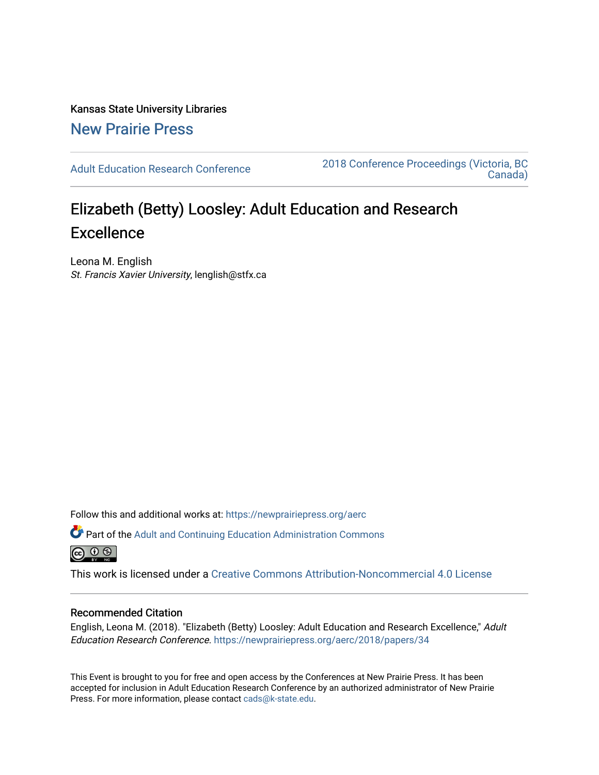Kansas State University Libraries [New Prairie Press](https://newprairiepress.org/) 

[Adult Education Research Conference](https://newprairiepress.org/aerc) [2018 Conference Proceedings \(Victoria, BC](https://newprairiepress.org/aerc/2018)  [Canada\)](https://newprairiepress.org/aerc/2018) 

# Elizabeth (Betty) Loosley: Adult Education and Research **Excellence**

Leona M. English St. Francis Xavier University, lenglish@stfx.ca

Follow this and additional works at: [https://newprairiepress.org/aerc](https://newprairiepress.org/aerc?utm_source=newprairiepress.org%2Faerc%2F2018%2Fpapers%2F34&utm_medium=PDF&utm_campaign=PDFCoverPages)

Part of the [Adult and Continuing Education Administration Commons](http://network.bepress.com/hgg/discipline/789?utm_source=newprairiepress.org%2Faerc%2F2018%2Fpapers%2F34&utm_medium=PDF&utm_campaign=PDFCoverPages) <u>© 0 ® </u>

This work is licensed under a [Creative Commons Attribution-Noncommercial 4.0 License](https://creativecommons.org/licenses/by-nc/4.0/)

## Recommended Citation

English, Leona M. (2018). "Elizabeth (Betty) Loosley: Adult Education and Research Excellence," Adult Education Research Conference. <https://newprairiepress.org/aerc/2018/papers/34>

This Event is brought to you for free and open access by the Conferences at New Prairie Press. It has been accepted for inclusion in Adult Education Research Conference by an authorized administrator of New Prairie Press. For more information, please contact [cads@k-state.edu.](mailto:cads@k-state.edu)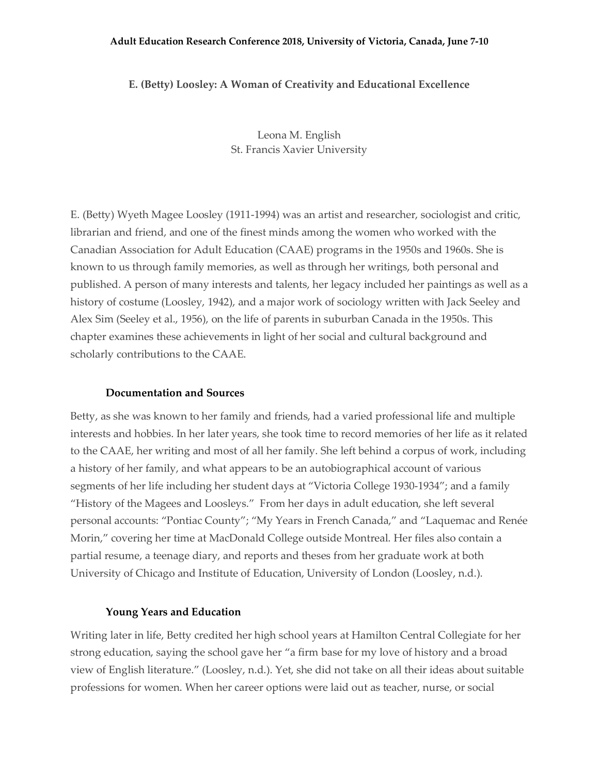#### **Adult Education Research Conference 2018, University of Victoria, Canada, June 7-10**

## **E. (Betty) Loosley: A Woman of Creativity and Educational Excellence**

Leona M. English St. Francis Xavier University

E. (Betty) Wyeth Magee Loosley (1911-1994) was an artist and researcher, sociologist and critic, librarian and friend, and one of the finest minds among the women who worked with the Canadian Association for Adult Education (CAAE) programs in the 1950s and 1960s. She is known to us through family memories, as well as through her writings, both personal and published. A person of many interests and talents, her legacy included her paintings as well as a history of costume (Loosley, 1942), and a major work of sociology written with Jack Seeley and Alex Sim (Seeley et al., 1956), on the life of parents in suburban Canada in the 1950s. This chapter examines these achievements in light of her social and cultural background and scholarly contributions to the CAAE.

#### **Documentation and Sources**

Betty, as she was known to her family and friends, had a varied professional life and multiple interests and hobbies. In her later years, she took time to record memories of her life as it related to the CAAE, her writing and most of all her family. She left behind a corpus of work, including a history of her family, and what appears to be an autobiographical account of various segments of her life including her student days at "Victoria College 1930-1934"; and a family "History of the Magees and Loosleys." From her days in adult education, she left several personal accounts: "Pontiac County"; "My Years in French Canada," and "Laquemac and Renée Morin," covering her time at MacDonald College outside Montreal. Her files also contain a partial resume, a teenage diary, and reports and theses from her graduate work at both University of Chicago and Institute of Education, University of London (Loosley, n.d.).

#### **Young Years and Education**

Writing later in life, Betty credited her high school years at Hamilton Central Collegiate for her strong education, saying the school gave her "a firm base for my love of history and a broad view of English literature." (Loosley, n.d.). Yet, she did not take on all their ideas about suitable professions for women. When her career options were laid out as teacher, nurse, or social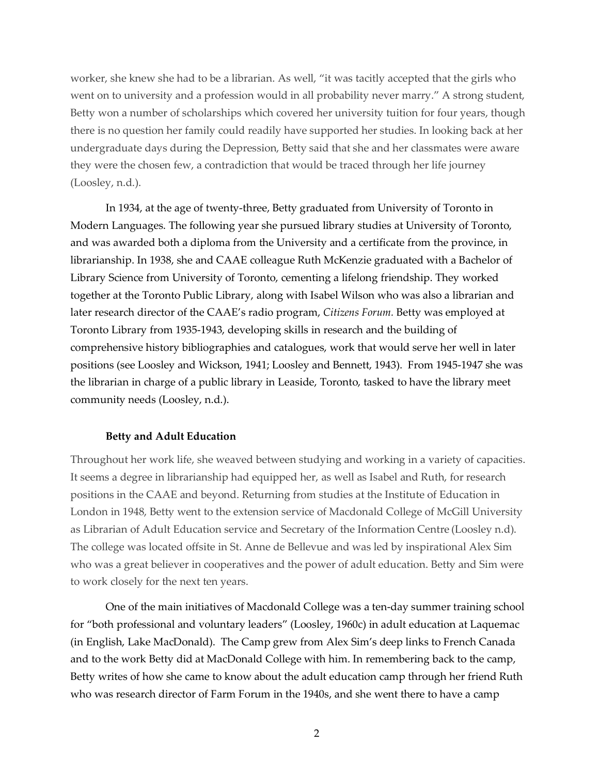worker, she knew she had to be a librarian. As well, "it was tacitly accepted that the girls who went on to university and a profession would in all probability never marry." A strong student, Betty won a number of scholarships which covered her university tuition for four years, though there is no question her family could readily have supported her studies. In looking back at her undergraduate days during the Depression, Betty said that she and her classmates were aware they were the chosen few, a contradiction that would be traced through her life journey (Loosley, n.d.).

In 1934, at the age of twenty-three, Betty graduated from University of Toronto in Modern Languages. The following year she pursued library studies at University of Toronto, and was awarded both a diploma from the University and a certificate from the province, in librarianship. In 1938, she and CAAE colleague Ruth McKenzie graduated with a Bachelor of Library Science from University of Toronto, cementing a lifelong friendship. They worked together at the Toronto Public Library, along with Isabel Wilson who was also a librarian and later research director of the CAAE's radio program, *Citizens Forum.* Betty was employed at Toronto Library from 1935-1943, developing skills in research and the building of comprehensive history bibliographies and catalogues, work that would serve her well in later positions (see Loosley and Wickson, 1941; Loosley and Bennett, 1943). From 1945-1947 she was the librarian in charge of a public library in Leaside, Toronto, tasked to have the library meet community needs (Loosley, n.d.).

## **Betty and Adult Education**

Throughout her work life, she weaved between studying and working in a variety of capacities. It seems a degree in librarianship had equipped her, as well as Isabel and Ruth, for research positions in the CAAE and beyond. Returning from studies at the Institute of Education in London in 1948, Betty went to the extension service of Macdonald College of McGill University as Librarian of Adult Education service and Secretary of the Information Centre (Loosley n.d). The college was located offsite in St. Anne de Bellevue and was led by inspirational Alex Sim who was a great believer in cooperatives and the power of adult education. Betty and Sim were to work closely for the next ten years.

One of the main initiatives of Macdonald College was a ten-day summer training school for "both professional and voluntary leaders" (Loosley, 1960c) in adult education at Laquemac (in English, Lake MacDonald). The Camp grew from Alex Sim's deep links to French Canada and to the work Betty did at MacDonald College with him. In remembering back to the camp, Betty writes of how she came to know about the adult education camp through her friend Ruth who was research director of Farm Forum in the 1940s, and she went there to have a camp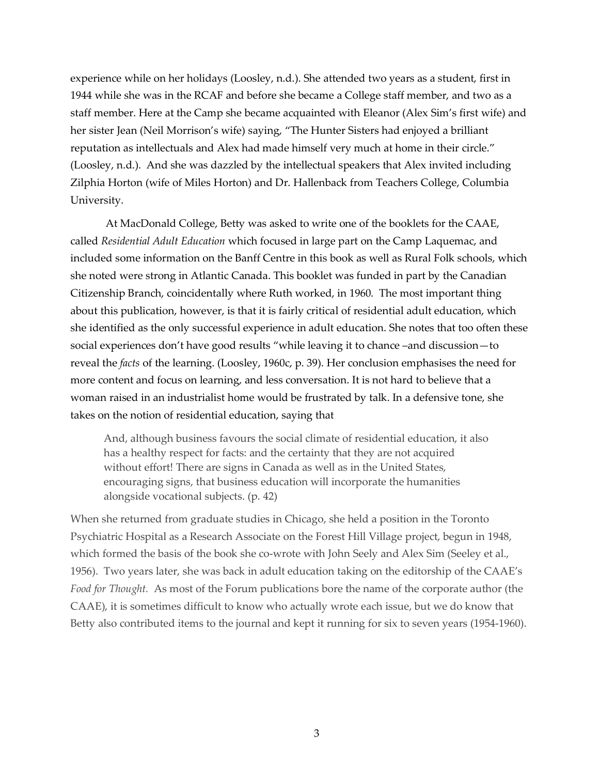experience while on her holidays (Loosley, n.d.). She attended two years as a student, first in 1944 while she was in the RCAF and before she became a College staff member, and two as a staff member. Here at the Camp she became acquainted with Eleanor (Alex Sim's first wife) and her sister Jean (Neil Morrison's wife) saying, "The Hunter Sisters had enjoyed a brilliant reputation as intellectuals and Alex had made himself very much at home in their circle." (Loosley, n.d.). And she was dazzled by the intellectual speakers that Alex invited including Zilphia Horton (wife of Miles Horton) and Dr. Hallenback from Teachers College, Columbia University.

At MacDonald College, Betty was asked to write one of the booklets for the CAAE, called *Residential Adult Education* which focused in large part on the Camp Laquemac, and included some information on the Banff Centre in this book as well as Rural Folk schools, which she noted were strong in Atlantic Canada. This booklet was funded in part by the Canadian Citizenship Branch, coincidentally where Ruth worked, in 1960. The most important thing about this publication, however, is that it is fairly critical of residential adult education, which she identified as the only successful experience in adult education. She notes that too often these social experiences don't have good results "while leaving it to chance –and discussion—to reveal the *facts* of the learning. (Loosley, 1960c, p. 39). Her conclusion emphasises the need for more content and focus on learning, and less conversation. It is not hard to believe that a woman raised in an industrialist home would be frustrated by talk. In a defensive tone, she takes on the notion of residential education, saying that

And, although business favours the social climate of residential education, it also has a healthy respect for facts: and the certainty that they are not acquired without effort! There are signs in Canada as well as in the United States, encouraging signs, that business education will incorporate the humanities alongside vocational subjects. (p. 42)

When she returned from graduate studies in Chicago, she held a position in the Toronto Psychiatric Hospital as a Research Associate on the Forest Hill Village project, begun in 1948, which formed the basis of the book she co-wrote with John Seely and Alex Sim (Seeley et al., 1956). Two years later, she was back in adult education taking on the editorship of the CAAE's *Food for Thought.* As most of the Forum publications bore the name of the corporate author (the CAAE), it is sometimes difficult to know who actually wrote each issue, but we do know that Betty also contributed items to the journal and kept it running for six to seven years (1954-1960).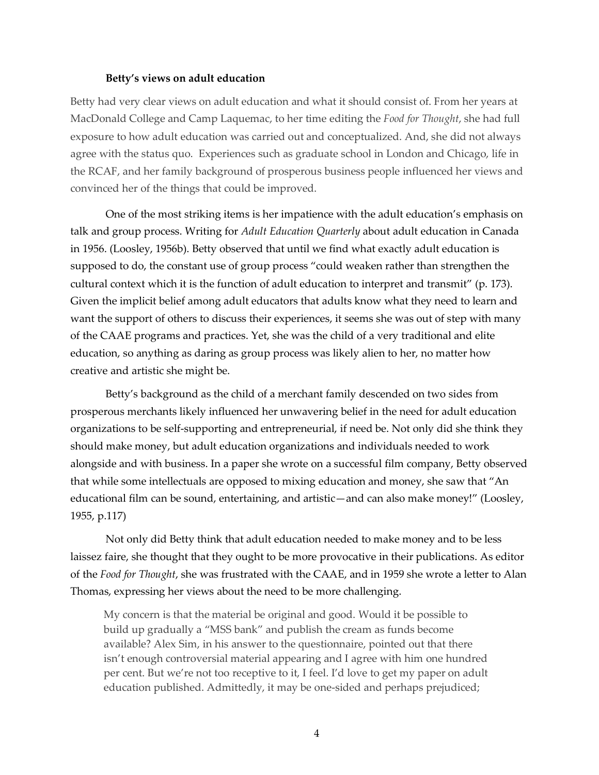## **Betty's views on adult education**

Betty had very clear views on adult education and what it should consist of. From her years at MacDonald College and Camp Laquemac, to her time editing the *Food for Thought*, she had full exposure to how adult education was carried out and conceptualized. And, she did not always agree with the status quo. Experiences such as graduate school in London and Chicago, life in the RCAF, and her family background of prosperous business people influenced her views and convinced her of the things that could be improved.

One of the most striking items is her impatience with the adult education's emphasis on talk and group process. Writing for *Adult Education Quarterly* about adult education in Canada in 1956. (Loosley, 1956b). Betty observed that until we find what exactly adult education is supposed to do, the constant use of group process "could weaken rather than strengthen the cultural context which it is the function of adult education to interpret and transmit" (p. 173). Given the implicit belief among adult educators that adults know what they need to learn and want the support of others to discuss their experiences, it seems she was out of step with many of the CAAE programs and practices. Yet, she was the child of a very traditional and elite education, so anything as daring as group process was likely alien to her, no matter how creative and artistic she might be.

Betty's background as the child of a merchant family descended on two sides from prosperous merchants likely influenced her unwavering belief in the need for adult education organizations to be self-supporting and entrepreneurial, if need be. Not only did she think they should make money, but adult education organizations and individuals needed to work alongside and with business. In a paper she wrote on a successful film company, Betty observed that while some intellectuals are opposed to mixing education and money, she saw that "An educational film can be sound, entertaining, and artistic—and can also make money!" (Loosley, 1955, p.117)

Not only did Betty think that adult education needed to make money and to be less laissez faire, she thought that they ought to be more provocative in their publications. As editor of the *Food for Thought*, she was frustrated with the CAAE, and in 1959 she wrote a letter to Alan Thomas, expressing her views about the need to be more challenging.

My concern is that the material be original and good. Would it be possible to build up gradually a "MSS bank" and publish the cream as funds become available? Alex Sim, in his answer to the questionnaire, pointed out that there isn't enough controversial material appearing and I agree with him one hundred per cent. But we're not too receptive to it, I feel. I'd love to get my paper on adult education published. Admittedly, it may be one-sided and perhaps prejudiced;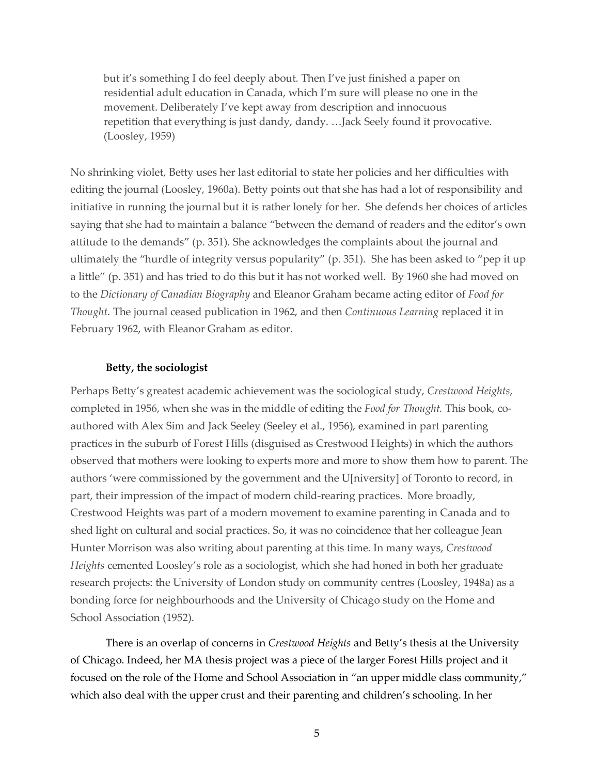but it's something I do feel deeply about. Then I've just finished a paper on residential adult education in Canada, which I'm sure will please no one in the movement. Deliberately I've kept away from description and innocuous repetition that everything is just dandy, dandy. …Jack Seely found it provocative. (Loosley, 1959)

No shrinking violet, Betty uses her last editorial to state her policies and her difficulties with editing the journal (Loosley, 1960a). Betty points out that she has had a lot of responsibility and initiative in running the journal but it is rather lonely for her. She defends her choices of articles saying that she had to maintain a balance "between the demand of readers and the editor's own attitude to the demands" (p. 351). She acknowledges the complaints about the journal and ultimately the "hurdle of integrity versus popularity" (p. 351). She has been asked to "pep it up a little" (p. 351) and has tried to do this but it has not worked well. By 1960 she had moved on to the *Dictionary of Canadian Biography* and Eleanor Graham became acting editor of *Food for Thought*. The journal ceased publication in 1962, and then *Continuous Learning* replaced it in February 1962, with Eleanor Graham as editor.

#### **Betty, the sociologist**

Perhaps Betty's greatest academic achievement was the sociological study, *Crestwood Heights*, completed in 1956, when she was in the middle of editing the *Food for Thought.* This book, coauthored with Alex Sim and Jack Seeley (Seeley et al., 1956), examined in part parenting practices in the suburb of Forest Hills (disguised as Crestwood Heights) in which the authors observed that mothers were looking to experts more and more to show them how to parent. The authors 'were commissioned by the government and the U[niversity] of Toronto to record, in part, their impression of the impact of modern child-rearing practices. More broadly, Crestwood Heights was part of a modern movement to examine parenting in Canada and to shed light on cultural and social practices. So, it was no coincidence that her colleague Jean Hunter Morrison was also writing about parenting at this time. In many ways, *Crestwood Heights* cemented Loosley's role as a sociologist, which she had honed in both her graduate research projects: the University of London study on community centres (Loosley, 1948a) as a bonding force for neighbourhoods and the University of Chicago study on the Home and School Association (1952).

There is an overlap of concerns in *Crestwood Heights* and Betty's thesis at the University of Chicago. Indeed, her MA thesis project was a piece of the larger Forest Hills project and it focused on the role of the Home and School Association in "an upper middle class community," which also deal with the upper crust and their parenting and children's schooling. In her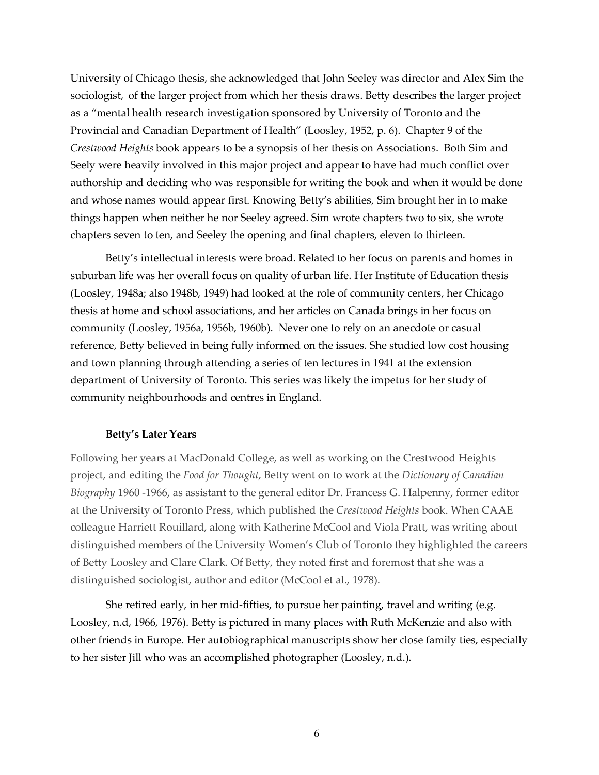University of Chicago thesis, she acknowledged that John Seeley was director and Alex Sim the sociologist, of the larger project from which her thesis draws. Betty describes the larger project as a "mental health research investigation sponsored by University of Toronto and the Provincial and Canadian Department of Health" (Loosley, 1952, p. 6). Chapter 9 of the *Crestwood Heights* book appears to be a synopsis of her thesis on Associations. Both Sim and Seely were heavily involved in this major project and appear to have had much conflict over authorship and deciding who was responsible for writing the book and when it would be done and whose names would appear first. Knowing Betty's abilities, Sim brought her in to make things happen when neither he nor Seeley agreed. Sim wrote chapters two to six, she wrote chapters seven to ten, and Seeley the opening and final chapters, eleven to thirteen.

Betty's intellectual interests were broad. Related to her focus on parents and homes in suburban life was her overall focus on quality of urban life. Her Institute of Education thesis (Loosley, 1948a; also 1948b, 1949) had looked at the role of community centers, her Chicago thesis at home and school associations, and her articles on Canada brings in her focus on community (Loosley, 1956a, 1956b, 1960b). Never one to rely on an anecdote or casual reference, Betty believed in being fully informed on the issues. She studied low cost housing and town planning through attending a series of ten lectures in 1941 at the extension department of University of Toronto. This series was likely the impetus for her study of community neighbourhoods and centres in England.

## **Betty's Later Years**

Following her years at MacDonald College, as well as working on the Crestwood Heights project, and editing the *Food for Thought*, Betty went on to work at the *Dictionary of Canadian Biography* 1960 -1966, as assistant to the general editor Dr. Francess G. Halpenny, former editor at the University of Toronto Press, which published the *Crestwood Heights* book. When CAAE colleague Harriett Rouillard, along with Katherine McCool and Viola Pratt, was writing about distinguished members of the University Women's Club of Toronto they highlighted the careers of Betty Loosley and Clare Clark. Of Betty, they noted first and foremost that she was a distinguished sociologist, author and editor (McCool et al., 1978).

She retired early, in her mid-fifties, to pursue her painting, travel and writing (e.g. Loosley, n.d, 1966, 1976). Betty is pictured in many places with Ruth McKenzie and also with other friends in Europe. Her autobiographical manuscripts show her close family ties, especially to her sister Jill who was an accomplished photographer (Loosley, n.d.).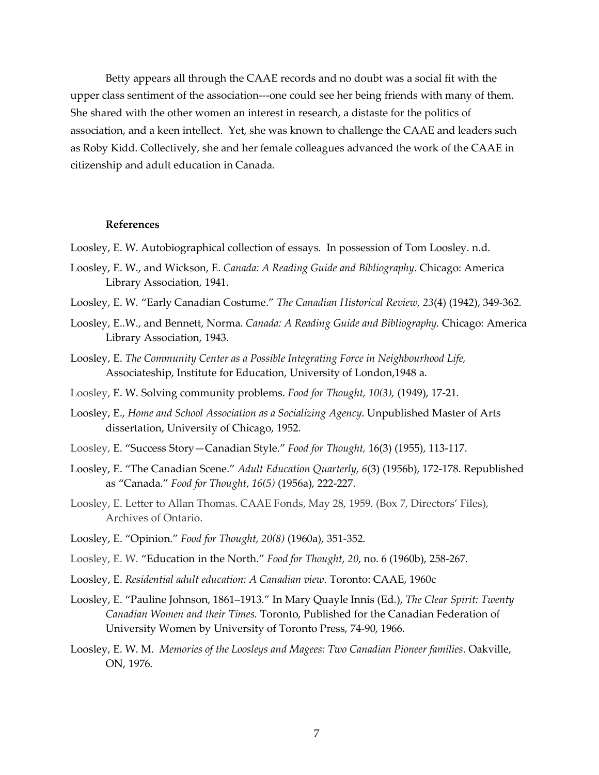Betty appears all through the CAAE records and no doubt was a social fit with the upper class sentiment of the association---one could see her being friends with many of them. She shared with the other women an interest in research, a distaste for the politics of association, and a keen intellect. Yet, she was known to challenge the CAAE and leaders such as Roby Kidd. Collectively, she and her female colleagues advanced the work of the CAAE in citizenship and adult education in Canada.

#### **References**

Loosley, E. W. Autobiographical collection of essays. In possession of Tom Loosley. n.d.

- Loosley, E. W., and Wickson, E. *Canada: A Reading Guide and Bibliography.* Chicago: America Library Association, 1941.
- Loosley, E. W. "Early Canadian Costume." *The Canadian Historical Review, 23*(4) (1942), 349-362.
- Loosley, E..W., and Bennett, Norma. *Canada: A Reading Guide and Bibliography.* Chicago: America Library Association, 1943.
- Loosley, E. *The Community Center as a Possible Integrating Force in Neighbourhood Life,* Associateship, Institute for Education, University of London,1948 a.
- Loosley, E. W. Solving community problems. *Food for Thought, 10(3),* (1949), 17-21.
- Loosley, E., *Home and School Association as a Socializing Agency*. Unpublished Master of Arts dissertation, University of Chicago, 1952.
- Loosley, E. "Success Story—Canadian Style." *Food for Thought,* 16(3) (1955), 113-117.
- Loosley, E. "The Canadian Scene." *Adult Education Quarterly, 6*(3) (1956b), 172-178. Republished as "Canada." *Food for Thought*, *16(5)* (1956a), 222-227.
- Loosley, E. Letter to Allan Thomas. CAAE Fonds, May 28, 1959. (Box 7, Directors' Files), Archives of Ontario.
- Loosley, E. "Opinion." *Food for Thought, 20(8)* (1960a), 351-352.
- Loosley, E. W. "Education in the North." *Food for Thought*, *20*, no. 6 (1960b), 258-267.
- Loosley, E. *Residential adult education: A Canadian view*. Toronto: CAAE, 1960c
- Loosley, E. "Pauline Johnson, 1861–1913." In Mary Quayle Innis (Ed.), *The Clear Spirit: Twenty Canadian Women and their Times.* Toronto, Published for the Canadian Federation of University Women by University of Toronto Press, 74-90, 1966.
- Loosley, E. W. M. *Memories of the Loosleys and Magees: Two Canadian Pioneer families*. Oakville, ON, 1976.